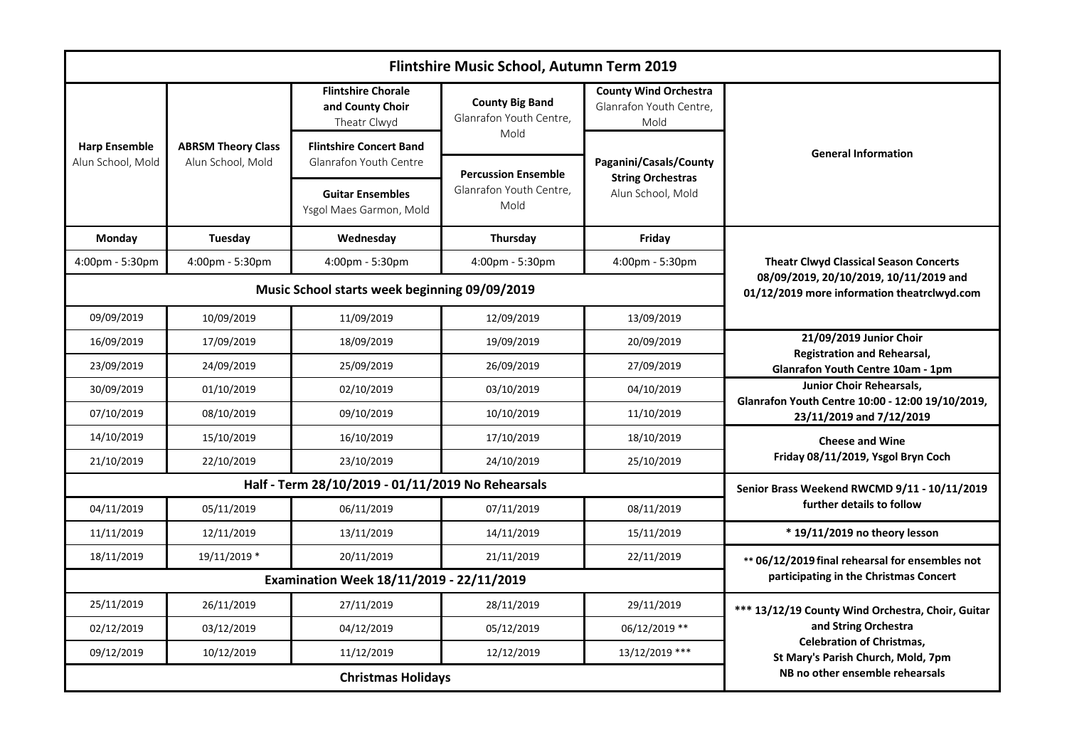| Flintshire Music School, Autumn Term 2019 |                                                   |                                                                                       |                                                                       |                                                                         |                                                                                                                                                     |  |  |
|-------------------------------------------|---------------------------------------------------|---------------------------------------------------------------------------------------|-----------------------------------------------------------------------|-------------------------------------------------------------------------|-----------------------------------------------------------------------------------------------------------------------------------------------------|--|--|
| <b>Harp Ensemble</b><br>Alun School, Mold | <b>ABRSM Theory Class</b><br>Alun School, Mold    | <b>Flintshire Chorale</b><br>and County Choir<br>Theatr Clwyd                         | <b>County Big Band</b><br>Glanrafon Youth Centre,                     | <b>County Wind Orchestra</b><br>Glanrafon Youth Centre,<br>Mold         | <b>General Information</b>                                                                                                                          |  |  |
|                                           |                                                   | <b>Flintshire Concert Band</b><br><b>Glanrafon Youth Centre</b>                       | Mold<br><b>Percussion Ensemble</b><br>Glanrafon Youth Centre,<br>Mold | Paganini/Casals/County<br><b>String Orchestras</b><br>Alun School, Mold |                                                                                                                                                     |  |  |
|                                           |                                                   | <b>Guitar Ensembles</b><br>Ysgol Maes Garmon, Mold                                    |                                                                       |                                                                         |                                                                                                                                                     |  |  |
| Monday                                    | Tuesday                                           | Wednesday                                                                             | Thursday                                                              | Friday                                                                  |                                                                                                                                                     |  |  |
| 4:00pm - 5:30pm                           | 4:00pm - 5:30pm                                   | 4:00pm - 5:30pm                                                                       | 4:00pm - 5:30pm                                                       | 4:00pm - 5:30pm                                                         | <b>Theatr Clwyd Classical Season Concerts</b>                                                                                                       |  |  |
|                                           | Music School starts week beginning 09/09/2019     | 08/09/2019, 20/10/2019, 10/11/2019 and<br>01/12/2019 more information theatrclwyd.com |                                                                       |                                                                         |                                                                                                                                                     |  |  |
| 09/09/2019                                | 10/09/2019                                        | 11/09/2019                                                                            | 12/09/2019                                                            | 13/09/2019                                                              |                                                                                                                                                     |  |  |
| 16/09/2019                                | 17/09/2019                                        | 18/09/2019                                                                            | 19/09/2019                                                            | 20/09/2019                                                              | 21/09/2019 Junior Choir<br><b>Registration and Rehearsal,</b><br><b>Glanrafon Youth Centre 10am - 1pm</b>                                           |  |  |
| 23/09/2019                                | 24/09/2019                                        | 25/09/2019                                                                            | 26/09/2019                                                            | 27/09/2019                                                              |                                                                                                                                                     |  |  |
| 30/09/2019                                | 01/10/2019                                        | 02/10/2019                                                                            | 03/10/2019                                                            | 04/10/2019                                                              | <b>Junior Choir Rehearsals.</b><br>Glanrafon Youth Centre 10:00 - 12:00 19/10/2019,<br>23/11/2019 and 7/12/2019                                     |  |  |
| 07/10/2019                                | 08/10/2019                                        | 09/10/2019                                                                            | 10/10/2019                                                            | 11/10/2019                                                              |                                                                                                                                                     |  |  |
| 14/10/2019                                | 15/10/2019                                        | 16/10/2019                                                                            | 17/10/2019                                                            | 18/10/2019                                                              | <b>Cheese and Wine</b><br>Friday 08/11/2019, Ysgol Bryn Coch                                                                                        |  |  |
| 21/10/2019                                | 22/10/2019                                        | 23/10/2019                                                                            | 24/10/2019                                                            | 25/10/2019                                                              |                                                                                                                                                     |  |  |
|                                           | Half - Term 28/10/2019 - 01/11/2019 No Rehearsals | Senior Brass Weekend RWCMD 9/11 - 10/11/2019                                          |                                                                       |                                                                         |                                                                                                                                                     |  |  |
| 04/11/2019                                | 05/11/2019                                        | 06/11/2019                                                                            | 07/11/2019                                                            | 08/11/2019                                                              | further details to follow                                                                                                                           |  |  |
| 11/11/2019                                | 12/11/2019                                        | 13/11/2019                                                                            | 14/11/2019                                                            | 15/11/2019                                                              | $*$ 19/11/2019 no theory lesson                                                                                                                     |  |  |
| 18/11/2019                                | 19/11/2019 *                                      | 20/11/2019                                                                            | 21/11/2019                                                            | 22/11/2019                                                              | ** 06/12/2019 final rehearsal for ensembles not                                                                                                     |  |  |
|                                           | Examination Week 18/11/2019 - 22/11/2019          | participating in the Christmas Concert                                                |                                                                       |                                                                         |                                                                                                                                                     |  |  |
| 25/11/2019                                | 26/11/2019                                        | 27/11/2019                                                                            | 28/11/2019                                                            | 29/11/2019                                                              | *** 13/12/19 County Wind Orchestra, Choir, Guitar<br>and String Orchestra<br><b>Celebration of Christmas,</b><br>St Mary's Parish Church, Mold, 7pm |  |  |
| 02/12/2019                                | 03/12/2019                                        | 04/12/2019                                                                            | 05/12/2019                                                            | 06/12/2019 **                                                           |                                                                                                                                                     |  |  |
| 09/12/2019                                | 10/12/2019                                        | 11/12/2019                                                                            | 12/12/2019                                                            | 13/12/2019 ***                                                          |                                                                                                                                                     |  |  |
|                                           |                                                   | NB no other ensemble rehearsals                                                       |                                                                       |                                                                         |                                                                                                                                                     |  |  |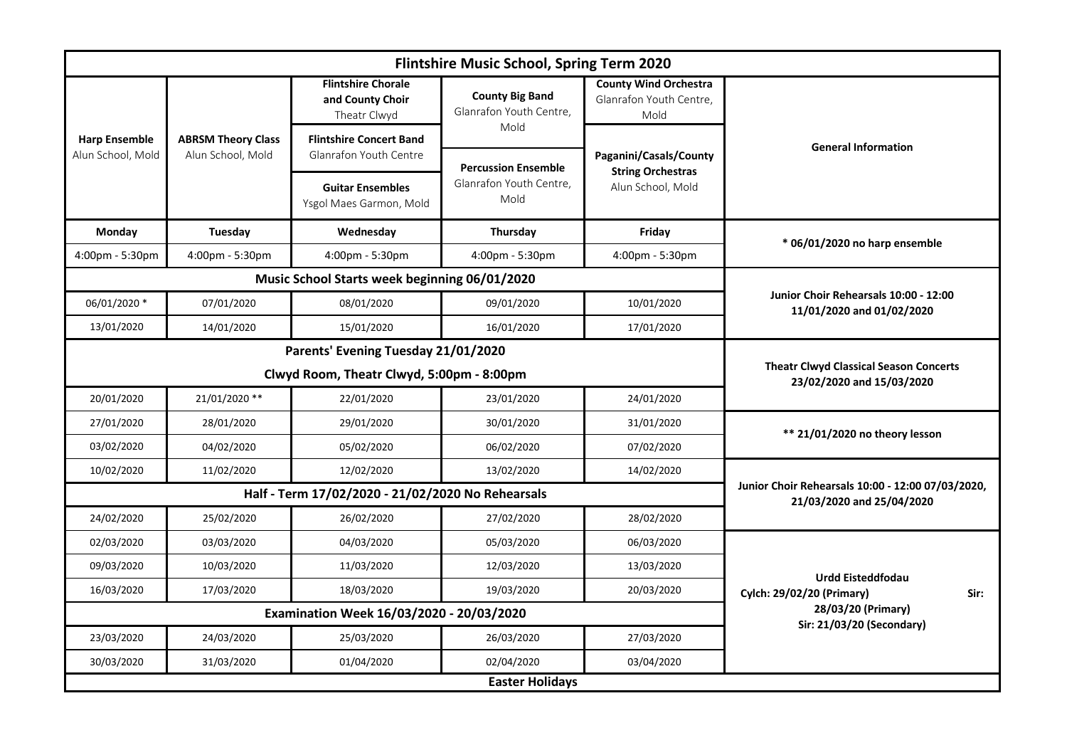| Flintshire Music School, Spring Term 2020 |                                                   |                                                                            |                                                                                |                                                                         |                                                                      |  |  |
|-------------------------------------------|---------------------------------------------------|----------------------------------------------------------------------------|--------------------------------------------------------------------------------|-------------------------------------------------------------------------|----------------------------------------------------------------------|--|--|
| <b>Harp Ensemble</b><br>Alun School, Mold | <b>ABRSM Theory Class</b><br>Alun School, Mold    | <b>Flintshire Chorale</b><br>and County Choir<br>Theatr Clwyd              | <b>County Big Band</b><br>Glanrafon Youth Centre,<br>Mold                      | County Wind Orchestra<br>Glanrafon Youth Centre,<br>Mold                | <b>General Information</b>                                           |  |  |
|                                           |                                                   | <b>Flintshire Concert Band</b><br>Glanrafon Youth Centre                   | <b>Percussion Ensemble</b><br>Glanrafon Youth Centre,<br>Mold                  | Paganini/Casals/County<br><b>String Orchestras</b><br>Alun School, Mold |                                                                      |  |  |
|                                           |                                                   | <b>Guitar Ensembles</b><br>Ysgol Maes Garmon, Mold                         |                                                                                |                                                                         |                                                                      |  |  |
| <b>Monday</b>                             | Tuesday                                           | Wednesday                                                                  | Thursday                                                                       | Friday                                                                  | * 06/01/2020 no harp ensemble                                        |  |  |
| 4:00pm - 5:30pm                           | 4:00pm - 5:30pm                                   | 4:00pm - 5:30pm                                                            | 4:00pm - 5:30pm                                                                | 4:00pm - 5:30pm                                                         |                                                                      |  |  |
|                                           |                                                   | Music School Starts week beginning 06/01/2020                              |                                                                                |                                                                         | Junior Choir Rehearsals 10:00 - 12:00<br>11/01/2020 and 01/02/2020   |  |  |
| 06/01/2020 *                              | 07/01/2020                                        | 08/01/2020                                                                 | 09/01/2020                                                                     | 10/01/2020                                                              |                                                                      |  |  |
| 13/01/2020                                | 14/01/2020                                        | 15/01/2020                                                                 | 16/01/2020                                                                     | 17/01/2020                                                              |                                                                      |  |  |
|                                           |                                                   | Parents' Evening Tuesday 21/01/2020                                        |                                                                                |                                                                         |                                                                      |  |  |
|                                           | Clwyd Room, Theatr Clwyd, 5:00pm - 8:00pm         | <b>Theatr Clwyd Classical Season Concerts</b><br>23/02/2020 and 15/03/2020 |                                                                                |                                                                         |                                                                      |  |  |
| 20/01/2020                                | 21/01/2020 **                                     | 22/01/2020                                                                 | 23/01/2020                                                                     | 24/01/2020                                                              |                                                                      |  |  |
| 27/01/2020                                | 28/01/2020                                        | 29/01/2020                                                                 | 30/01/2020                                                                     | 31/01/2020                                                              | ** 21/01/2020 no theory lesson                                       |  |  |
| 03/02/2020                                | 04/02/2020                                        | 05/02/2020                                                                 | 06/02/2020                                                                     | 07/02/2020                                                              |                                                                      |  |  |
| 10/02/2020                                | 11/02/2020                                        | 12/02/2020                                                                 | 13/02/2020                                                                     | 14/02/2020                                                              |                                                                      |  |  |
|                                           | Half - Term 17/02/2020 - 21/02/2020 No Rehearsals |                                                                            | Junior Choir Rehearsals 10:00 - 12:00 07/03/2020,<br>21/03/2020 and 25/04/2020 |                                                                         |                                                                      |  |  |
| 24/02/2020                                | 25/02/2020                                        | 26/02/2020                                                                 | 27/02/2020                                                                     | 28/02/2020                                                              |                                                                      |  |  |
| 02/03/2020                                | 03/03/2020                                        | 04/03/2020                                                                 | 05/03/2020                                                                     | 06/03/2020                                                              | <b>Urdd Eisteddfodau</b><br><b>Cylch: 29/02/20 (Primary)</b><br>Sir: |  |  |
| 09/03/2020                                | 10/03/2020                                        | 11/03/2020                                                                 | 12/03/2020                                                                     | 13/03/2020                                                              |                                                                      |  |  |
| 16/03/2020                                | 17/03/2020                                        | 18/03/2020                                                                 | 19/03/2020                                                                     | 20/03/2020                                                              |                                                                      |  |  |
|                                           | Examination Week 16/03/2020 - 20/03/2020          | 28/03/20 (Primary)                                                         |                                                                                |                                                                         |                                                                      |  |  |
| 23/03/2020                                | 24/03/2020                                        | 25/03/2020                                                                 | 26/03/2020                                                                     | 27/03/2020                                                              | Sir: 21/03/20 (Secondary)                                            |  |  |
| 30/03/2020                                | 31/03/2020                                        | 01/04/2020                                                                 | 02/04/2020                                                                     | 03/04/2020                                                              |                                                                      |  |  |
| <b>Easter Holidays</b>                    |                                                   |                                                                            |                                                                                |                                                                         |                                                                      |  |  |